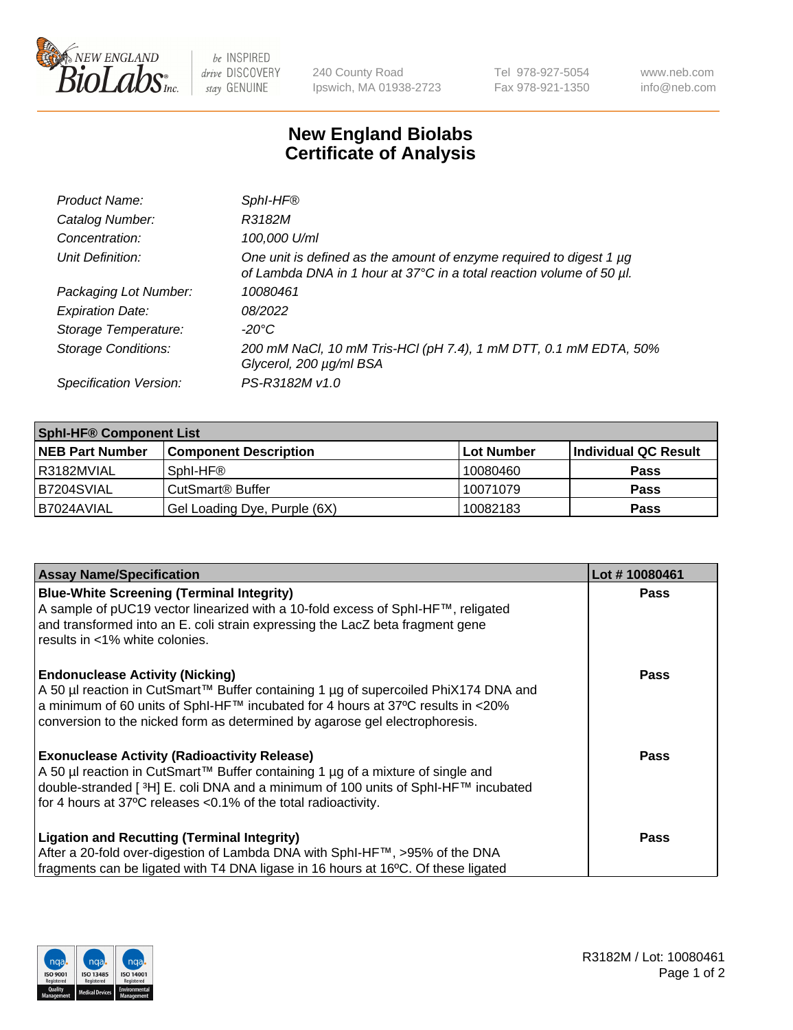

 $be$  INSPIRED drive DISCOVERY stay GENUINE

240 County Road Ipswich, MA 01938-2723 Tel 978-927-5054 Fax 978-921-1350 www.neb.com info@neb.com

## **New England Biolabs Certificate of Analysis**

| Product Name:              | Sphl-HF®                                                                                                                                    |
|----------------------------|---------------------------------------------------------------------------------------------------------------------------------------------|
| Catalog Number:            | R3182M                                                                                                                                      |
| Concentration:             | 100,000 U/ml                                                                                                                                |
| Unit Definition:           | One unit is defined as the amount of enzyme required to digest 1 µg<br>of Lambda DNA in 1 hour at 37°C in a total reaction volume of 50 µl. |
| Packaging Lot Number:      | 10080461                                                                                                                                    |
| <b>Expiration Date:</b>    | 08/2022                                                                                                                                     |
| Storage Temperature:       | $-20^{\circ}$ C                                                                                                                             |
| <b>Storage Conditions:</b> | 200 mM NaCl, 10 mM Tris-HCl (pH 7.4), 1 mM DTT, 0.1 mM EDTA, 50%<br>Glycerol, 200 µg/ml BSA                                                 |
| Specification Version:     | PS-R3182M v1.0                                                                                                                              |

| <b>Sphi-HF® Component List</b> |                              |                   |                      |  |  |
|--------------------------------|------------------------------|-------------------|----------------------|--|--|
| <b>NEB Part Number</b>         | <b>Component Description</b> | <b>Lot Number</b> | Individual QC Result |  |  |
| I R3182MVIAL                   | Sphl-HF®                     | 10080460          | <b>Pass</b>          |  |  |
| IB7204SVIAL                    | CutSmart <sup>®</sup> Buffer | 10071079          | <b>Pass</b>          |  |  |
| IB7024AVIAL                    | Gel Loading Dye, Purple (6X) | 10082183          | <b>Pass</b>          |  |  |

| <b>Assay Name/Specification</b>                                                                                                                                                                                                                                | Lot #10080461 |
|----------------------------------------------------------------------------------------------------------------------------------------------------------------------------------------------------------------------------------------------------------------|---------------|
| <b>Blue-White Screening (Terminal Integrity)</b><br>A sample of pUC19 vector linearized with a 10-fold excess of SphI-HF™, religated                                                                                                                           | <b>Pass</b>   |
| and transformed into an E. coli strain expressing the LacZ beta fragment gene<br>results in <1% white colonies.                                                                                                                                                |               |
| <b>Endonuclease Activity (Nicking)</b>                                                                                                                                                                                                                         | Pass          |
| A 50 µl reaction in CutSmart™ Buffer containing 1 µg of supercoiled PhiX174 DNA and<br>$\alpha$ a minimum of 60 units of SphI-HF™ incubated for 4 hours at 37°C results in <20%<br>conversion to the nicked form as determined by agarose gel electrophoresis. |               |
| <b>Exonuclease Activity (Radioactivity Release)</b>                                                                                                                                                                                                            | Pass          |
| A 50 µl reaction in CutSmart™ Buffer containing 1 µg of a mixture of single and                                                                                                                                                                                |               |
| double-stranded [3H] E. coli DNA and a minimum of 100 units of Sphl-HF™ incubated                                                                                                                                                                              |               |
| for 4 hours at 37°C releases <0.1% of the total radioactivity.                                                                                                                                                                                                 |               |
| <b>Ligation and Recutting (Terminal Integrity)</b>                                                                                                                                                                                                             | <b>Pass</b>   |
| After a 20-fold over-digestion of Lambda DNA with SphI-HF™, >95% of the DNA                                                                                                                                                                                    |               |
| fragments can be ligated with T4 DNA ligase in 16 hours at 16°C. Of these ligated                                                                                                                                                                              |               |